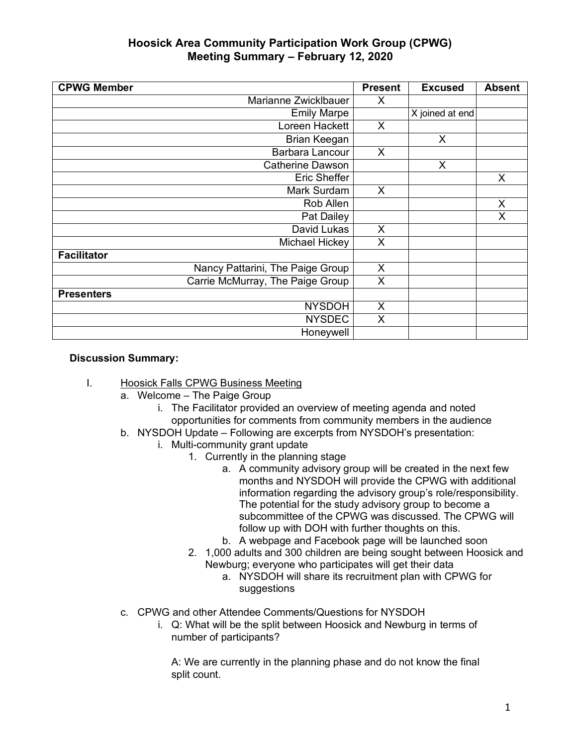| <b>CPWG Member</b>               | <b>Present</b> | <b>Excused</b>  | <b>Absent</b> |
|----------------------------------|----------------|-----------------|---------------|
| Marianne Zwicklbauer             | X              |                 |               |
| <b>Emily Marpe</b>               |                | X joined at end |               |
| Loreen Hackett                   | X              |                 |               |
| Brian Keegan                     |                | $\mathsf{X}$    |               |
| Barbara Lancour                  | X              |                 |               |
| <b>Catherine Dawson</b>          |                | $\mathsf{X}$    |               |
| Eric Sheffer                     |                |                 | X             |
| Mark Surdam                      | X              |                 |               |
| Rob Allen                        |                |                 | X             |
| Pat Dailey                       |                |                 | X             |
| David Lukas                      | X              |                 |               |
| Michael Hickey                   | X              |                 |               |
| <b>Facilitator</b>               |                |                 |               |
| Nancy Pattarini, The Paige Group | X              |                 |               |
| Carrie McMurray, The Paige Group | X              |                 |               |
| <b>Presenters</b>                |                |                 |               |
| <b>NYSDOH</b>                    | X              |                 |               |
| <b>NYSDEC</b>                    | X              |                 |               |
| Honeywell                        |                |                 |               |

### **Discussion Summary:**

- I. Hoosick Falls CPWG Business Meeting
	- a. Welcome The Paige Group
		- i. The Facilitator provided an overview of meeting agenda and noted opportunities for comments from community members in the audience
	- b. NYSDOH Update Following are excerpts from NYSDOH's presentation:
		- i. Multi-community grant update
			- 1. Currently in the planning stage
				- a. A community advisory group will be created in the next few months and NYSDOH will provide the CPWG with additional information regarding the advisory group's role/responsibility. The potential for the study advisory group to become a subcommittee of the CPWG was discussed. The CPWG will follow up with DOH with further thoughts on this.
				- b. A webpage and Facebook page will be launched soon
			- 2. 1,000 adults and 300 children are being sought between Hoosick and Newburg; everyone who participates will get their data
				- a. NYSDOH will share its recruitment plan with CPWG for suggestions
	- c. CPWG and other Attendee Comments/Questions for NYSDOH
		- i. Q: What will be the split between Hoosick and Newburg in terms of number of participants?

A: We are currently in the planning phase and do not know the final split count.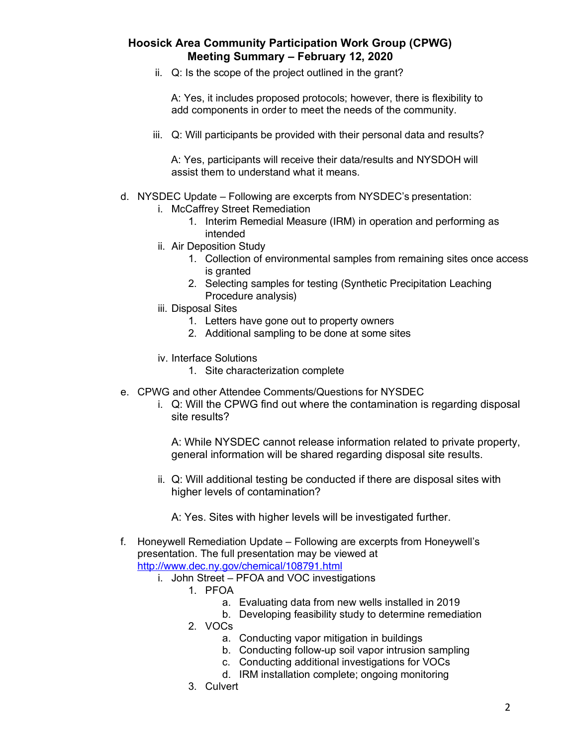ii. Q: Is the scope of the project outlined in the grant?

A: Yes, it includes proposed protocols; however, there is flexibility to add components in order to meet the needs of the community.

iii. Q: Will participants be provided with their personal data and results?

A: Yes, participants will receive their data/results and NYSDOH will assist them to understand what it means.

#### d. NYSDEC Update – Following are excerpts from NYSDEC's presentation:

- i. McCaffrey Street Remediation
	- 1. Interim Remedial Measure (IRM) in operation and performing as intended
- ii. Air Deposition Study
	- 1. Collection of environmental samples from remaining sites once access is granted
	- 2. Selecting samples for testing (Synthetic Precipitation Leaching Procedure analysis)
- iii. Disposal Sites
	- 1. Letters have gone out to property owners
	- 2. Additional sampling to be done at some sites
- iv. Interface Solutions
	- 1. Site characterization complete
- e. CPWG and other Attendee Comments/Questions for NYSDEC
	- i. Q: Will the CPWG find out where the contamination is regarding disposal site results?

A: While NYSDEC cannot release information related to private property, general information will be shared regarding disposal site results.

ii. Q: Will additional testing be conducted if there are disposal sites with higher levels of contamination?

A: Yes. Sites with higher levels will be investigated further.

- f. Honeywell Remediation Update Following are excerpts from Honeywell's presentation. The full presentation may be viewed at http://www.dec.ny.gov/chemical/108791.html
	- i. John Street PFOA and VOC investigations
		- 1. PFOA
			- a. Evaluating data from new wells installed in 2019
			- b. Developing feasibility study to determine remediation
		- 2. VOCs
			- a. Conducting vapor mitigation in buildings
			- b. Conducting follow-up soil vapor intrusion sampling
			- c. Conducting additional investigations for VOCs
			- d. IRM installation complete; ongoing monitoring
		- 3. Culvert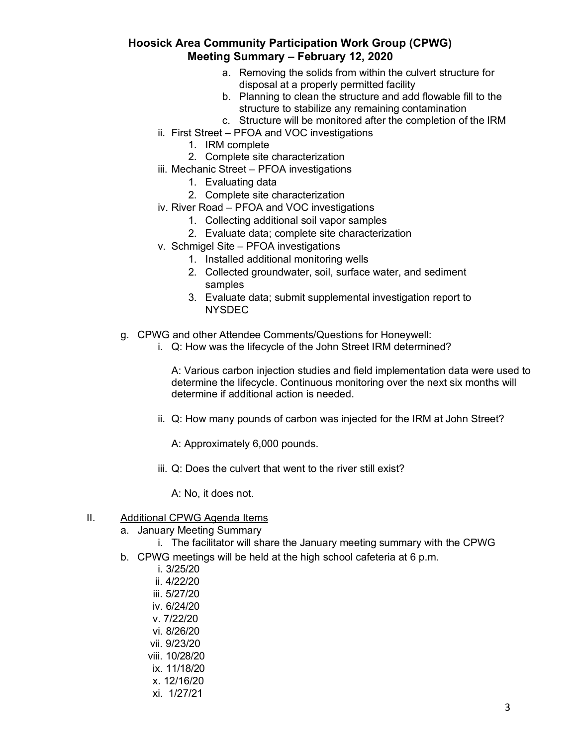- a. Removing the solids from within the culvert structure for disposal at a properly permitted facility
- b. Planning to clean the structure and add flowable fill to the structure to stabilize any remaining contamination
- c. Structure will be monitored after the completion of the IRM
- ii. First Street PFOA and VOC investigations
	- 1. IRM complete
	- 2. Complete site characterization
- iii. Mechanic Street PFOA investigations
	- 1. Evaluating data
	- 2. Complete site characterization
- iv. River Road PFOA and VOC investigations
	- 1. Collecting additional soil vapor samples
	- 2. Evaluate data; complete site characterization
- v. Schmigel Site PFOA investigations
	- 1. Installed additional monitoring wells
	- 2. Collected groundwater, soil, surface water, and sediment samples
	- 3. Evaluate data; submit supplemental investigation report to **NYSDEC**
- g. CPWG and other Attendee Comments/Questions for Honeywell:
	- i. Q: How was the lifecycle of the John Street IRM determined?

A: Various carbon injection studies and field implementation data were used to determine the lifecycle. Continuous monitoring over the next six months will determine if additional action is needed.

ii. Q: How many pounds of carbon was injected for the IRM at John Street?

A: Approximately 6,000 pounds.

iii. Q: Does the culvert that went to the river still exist?

A: No, it does not.

#### II. Additional CPWG Agenda Items

- a. January Meeting Summary
	- i. The facilitator will share the January meeting summary with the CPWG
- b. CPWG meetings will be held at the high school cafeteria at 6 p.m.
	- i. 3/25/20
	- ii. 4/22/20
	- iii. 5/27/20
	- iv. 6/24/20
	- v. 7/22/20
	- vi. 8/26/20
	- vii. 9/23/20
	- viii. 10/28/20
	- ix. 11/18/20
	- x. 12/16/20
	- xi. 1/27/21